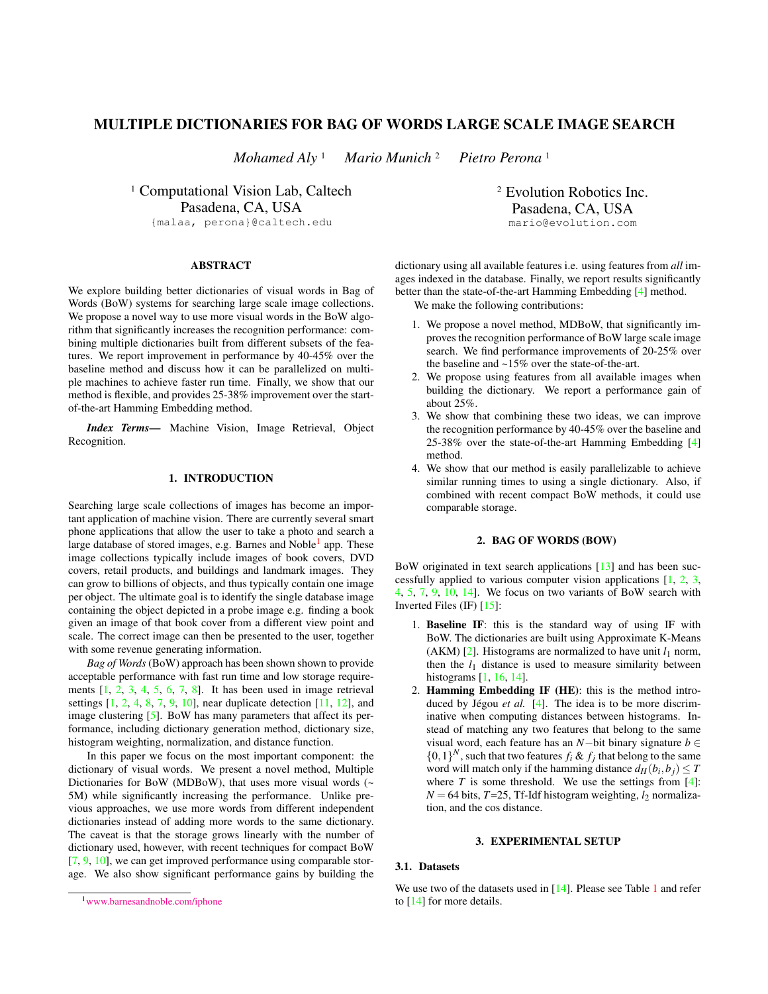# MULTIPLE DICTIONARIES FOR BAG OF WORDS LARGE SCALE IMAGE SEARCH

*Mohamed Aly* <sup>1</sup> *Mario Munich* <sup>2</sup> *Pietro Perona* <sup>1</sup>

<sup>1</sup> Computational Vision Lab, Caltech Pasadena, CA, USA {malaa, perona}@caltech.edu

**ABSTRACT** 

We explore building better dictionaries of visual words in Bag of Words (BoW) systems for searching large scale image collections. We propose a novel way to use more visual words in the BoW algorithm that significantly increases the recognition performance: combining multiple dictionaries built from different subsets of the features. We report improvement in performance by 40-45% over the baseline method and discuss how it can be parallelized on multiple machines to achieve faster run time. Finally, we show that our method is flexible, and provides 25-38% improvement over the startof-the-art Hamming Embedding method.

*Index Terms*— Machine Vision, Image Retrieval, Object Recognition.

## 1. INTRODUCTION

Searching large scale collections of images has become an important application of machine vision. There are currently several smart phone applications that allow the user to take a photo and search a large database of stored images, e.g. Barnes and Noble<sup>[1](#page-0-0)</sup> app. These image collections typically include images of book covers, DVD covers, retail products, and buildings and landmark images. They can grow to billions of objects, and thus typically contain one image per object. The ultimate goal is to identify the single database image containing the object depicted in a probe image e.g. finding a book given an image of that book cover from a different view point and scale. The correct image can then be presented to the user, together with some revenue generating information.

*Bag of Words* (BoW) approach has been shown shown to provide acceptable performance with fast run time and low storage requirements  $\begin{bmatrix} 1, 2, 3, 4, 5, 6, 7, 8 \end{bmatrix}$  $\begin{bmatrix} 1, 2, 3, 4, 5, 6, 7, 8 \end{bmatrix}$  $\begin{bmatrix} 1, 2, 3, 4, 5, 6, 7, 8 \end{bmatrix}$  $\begin{bmatrix} 1, 2, 3, 4, 5, 6, 7, 8 \end{bmatrix}$  $\begin{bmatrix} 1, 2, 3, 4, 5, 6, 7, 8 \end{bmatrix}$  $\begin{bmatrix} 1, 2, 3, 4, 5, 6, 7, 8 \end{bmatrix}$  $\begin{bmatrix} 1, 2, 3, 4, 5, 6, 7, 8 \end{bmatrix}$  $\begin{bmatrix} 1, 2, 3, 4, 5, 6, 7, 8 \end{bmatrix}$  $\begin{bmatrix} 1, 2, 3, 4, 5, 6, 7, 8 \end{bmatrix}$  $\begin{bmatrix} 1, 2, 3, 4, 5, 6, 7, 8 \end{bmatrix}$  $\begin{bmatrix} 1, 2, 3, 4, 5, 6, 7, 8 \end{bmatrix}$  $\begin{bmatrix} 1, 2, 3, 4, 5, 6, 7, 8 \end{bmatrix}$  $\begin{bmatrix} 1, 2, 3, 4, 5, 6, 7, 8 \end{bmatrix}$ . It has been used in image retrieval settings [\[1,](#page-3-0) [2,](#page-3-1) [4,](#page-3-3) [8,](#page-3-7) [7,](#page-3-6) [9,](#page-3-8) [10\]](#page-3-9), near duplicate detection [\[11,](#page-3-10) [12\]](#page-3-11), and image clustering [\[5\]](#page-3-4). BoW has many parameters that affect its performance, including dictionary generation method, dictionary size, histogram weighting, normalization, and distance function.

In this paper we focus on the most important component: the dictionary of visual words. We present a novel method, Multiple Dictionaries for BoW (MDBoW), that uses more visual words (~ 5M) while significantly increasing the performance. Unlike previous approaches, we use more words from different independent dictionaries instead of adding more words to the same dictionary. The caveat is that the storage grows linearly with the number of dictionary used, however, with recent techniques for compact BoW [\[7,](#page-3-6) [9,](#page-3-8) [10\]](#page-3-9), we can get improved performance using comparable storage. We also show significant performance gains by building the <sup>2</sup> Evolution Robotics Inc. Pasadena, CA, USA mario@evolution.com

dictionary using all available features i.e. using features from *all* images indexed in the database. Finally, we report results significantly better than the state-of-the-art Hamming Embedding [\[4\]](#page-3-3) method.

We make the following contributions:

- 1. We propose a novel method, MDBoW, that significantly improves the recognition performance of BoW large scale image search. We find performance improvements of 20-25% over the baseline and ~15% over the state-of-the-art.
- 2. We propose using features from all available images when building the dictionary. We report a performance gain of about 25%.
- 3. We show that combining these two ideas, we can improve the recognition performance by 40-45% over the baseline and 25-38% over the state-of-the-art Hamming Embedding [\[4\]](#page-3-3) method.
- 4. We show that our method is easily parallelizable to achieve similar running times to using a single dictionary. Also, if combined with recent compact BoW methods, it could use comparable storage.

## 2. BAG OF WORDS (BOW)

<span id="page-0-2"></span>BoW originated in text search applications [\[13\]](#page-3-12) and has been successfully applied to various computer vision applications [\[1,](#page-3-0) [2,](#page-3-1) [3,](#page-3-2) [4,](#page-3-3) [5,](#page-3-4) [7,](#page-3-6) [9,](#page-3-8) [10,](#page-3-9) [14\]](#page-3-13). We focus on two variants of BoW search with Inverted Files (IF) [\[15\]](#page-3-14):

- 1. Baseline IF: this is the standard way of using IF with BoW. The dictionaries are built using Approximate K-Means (AKM)  $[2]$ . Histograms are normalized to have unit  $l_1$  norm, then the  $l_1$  distance is used to measure similarity between histograms [\[1,](#page-3-0) [16,](#page-3-15) [14\]](#page-3-13).
- 2. Hamming Embedding IF (HE): this is the method introduced by Jégou *et al.* [\[4\]](#page-3-3). The idea is to be more discriminative when computing distances between histograms. Instead of matching any two features that belong to the same visual word, each feature has an *N*−bit binary signature *b* ∈  $\{0,1\}^N$ , such that two features  $f_i \& f_j$  that belong to the same word will match only if the hamming distance  $d_H(b_i, b_j) \leq T$ where  $T$  is some threshold. We use the settings from [\[4\]](#page-3-3):  $N = 64$  bits,  $T = 25$ , Tf-Idf histogram weighting,  $l_2$  normalization, and the cos distance.

#### 3. EXPERIMENTAL SETUP

#### <span id="page-0-1"></span>3.1. Datasets

We use two of the datasets used in [\[14\]](#page-3-13). Please see Table [1](#page-1-0) and refer to [\[14\]](#page-3-13) for more details.

<span id="page-0-0"></span><sup>1</sup>[www.barnesandnoble.com/iphone](http://www.barnesandnoble.com/iphone)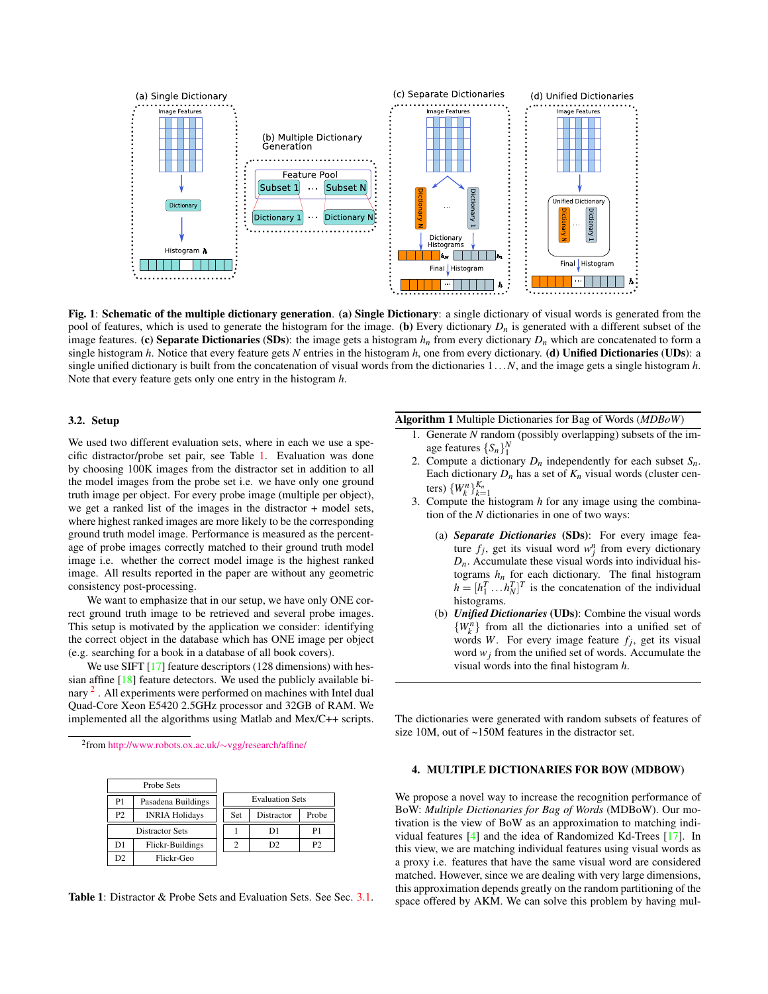

<span id="page-1-4"></span>Fig. 1: Schematic of the multiple dictionary generation. (a) Single Dictionary: a single dictionary of visual words is generated from the pool of features, which is used to generate the histogram for the image. (b) Every dictionary  $D_n$  is generated with a different subset of the image features. (c) Separate Dictionaries (SDs): the image gets a histogram  $h_n$  from every dictionary  $D_n$  which are concatenated to form a single histogram *h*. Notice that every feature gets *N* entries in the histogram *h*, one from every dictionary. (d) Unified Dictionaries (UDs): a single unified dictionary is built from the concatenation of visual words from the dictionaries 1...*N*, and the image gets a single histogram *h*. Note that every feature gets only one entry in the histogram *h*.

## 3.2. Setup

We used two different evaluation sets, where in each we use a specific distractor/probe set pair, see Table [1.](#page-1-0) Evaluation was done by choosing 100K images from the distractor set in addition to all the model images from the probe set i.e. we have only one ground truth image per object. For every probe image (multiple per object), we get a ranked list of the images in the distractor + model sets, where highest ranked images are more likely to be the corresponding ground truth model image. Performance is measured as the percentage of probe images correctly matched to their ground truth model image i.e. whether the correct model image is the highest ranked image. All results reported in the paper are without any geometric consistency post-processing.

We want to emphasize that in our setup, we have only ONE correct ground truth image to be retrieved and several probe images. This setup is motivated by the application we consider: identifying the correct object in the database which has ONE image per object (e.g. searching for a book in a database of all book covers).

We use SIFT [\[17\]](#page-3-16) feature descriptors (128 dimensions) with hessian affine [\[18\]](#page-3-17) feature detectors. We used the publicly available bi-nary <sup>[2](#page-1-1)</sup>. All experiments were performed on machines with Intel dual Quad-Core Xeon E5420 2.5GHz processor and 32GB of RAM. We implemented all the algorithms using Matlab and Mex/C++ scripts.

<span id="page-1-1"></span>2 from [http://www.robots.ox.ac.uk/](http://www.robots.ox.ac.uk/~vgg/research/affine/)∼vgg/research/affine/

| Probe Sets             |                       |                        |                |       |
|------------------------|-----------------------|------------------------|----------------|-------|
| P1                     | Pasadena Buildings    | <b>Evaluation Sets</b> |                |       |
| P <sub>2</sub>         | <b>INRIA Holidays</b> | Set                    | Distractor     | Probe |
| <b>Distractor Sets</b> |                       |                        | D1             | P1    |
| D1                     | Flickr-Buildings      |                        | D <sub>2</sub> | P2    |
| D2                     | Flickr-Geo            |                        |                |       |

<span id="page-1-0"></span>Table 1: Distractor & Probe Sets and Evaluation Sets. See Sec. [3.1.](#page-0-1)

## <span id="page-1-3"></span>Algorithm 1 Multiple Dictionaries for Bag of Words (*MDBoW*)

- 1. Generate *N* random (possibly overlapping) subsets of the image features  $\{S_n\}^N_1$
- 2. Compute a dictionary  $D_n$  independently for each subset  $S_n$ . Each dictionary  $D_n$  has a set of  $K_n$  visual words (cluster centers)  $\{W_k^n\}_{k=1}^{K_n}$
- 3. Compute the histogram *h* for any image using the combination of the *N* dictionaries in one of two ways:
	- (a) *Separate Dictionaries* (SDs): For every image feature  $f_j$ , get its visual word  $w_j^n$  from every dictionary  $D_n$ . Accumulate these visual words into individual histograms  $h_n$  for each dictionary. The final histogram  $h = [h_1^T \dots h_N^T]^T$  is the concatenation of the individual histograms.
	- (b) *Unified Dictionaries* (UDs): Combine the visual words  ${W_k^n}$  from all the dictionaries into a unified set of words *W*. For every image feature  $f_j$ , get its visual word  $w_i$  from the unified set of words. Accumulate the visual words into the final histogram *h*.

The dictionaries were generated with random subsets of features of size 10M, out of ~150M features in the distractor set.

### <span id="page-1-2"></span>4. MULTIPLE DICTIONARIES FOR BOW (MDBOW)

We propose a novel way to increase the recognition performance of BoW: *Multiple Dictionaries for Bag of Words* (MDBoW). Our motivation is the view of BoW as an approximation to matching individual features [\[4\]](#page-3-3) and the idea of Randomized Kd-Trees [\[17\]](#page-3-16). In this view, we are matching individual features using visual words as a proxy i.e. features that have the same visual word are considered matched. However, since we are dealing with very large dimensions, this approximation depends greatly on the random partitioning of the space offered by AKM. We can solve this problem by having mul-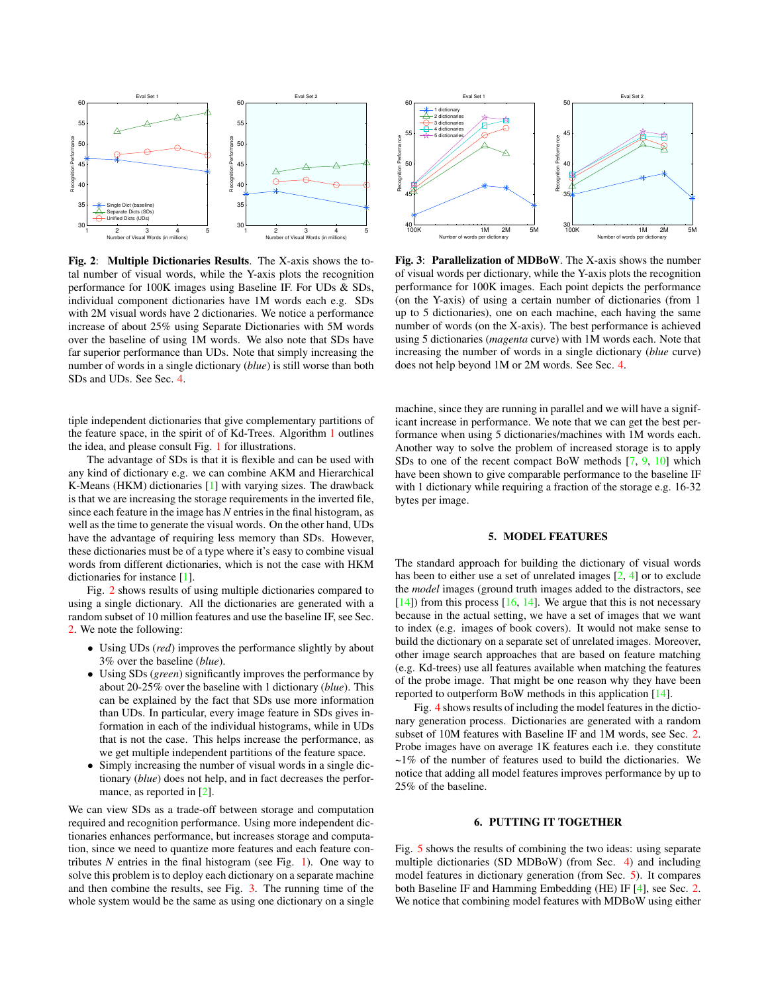

<span id="page-2-0"></span>Fig. 2: Multiple Dictionaries Results. The X-axis shows the total number of visual words, while the Y-axis plots the recognition performance for 100K images using Baseline IF. For UDs & SDs, individual component dictionaries have 1M words each e.g. SDs with 2M visual words have 2 dictionaries. We notice a performance increase of about 25% using Separate Dictionaries with 5M words over the baseline of using 1M words. We also note that SDs have far superior performance than UDs. Note that simply increasing the number of words in a single dictionary (*blue*) is still worse than both SDs and UDs. See Sec. [4.](#page-1-2)

tiple independent dictionaries that give complementary partitions of the feature space, in the spirit of of Kd-Trees. Algorithm [1](#page-1-3) outlines the idea, and please consult Fig. [1](#page-1-4) for illustrations.

The advantage of SDs is that it is flexible and can be used with any kind of dictionary e.g. we can combine AKM and Hierarchical K-Means (HKM) dictionaries [\[1\]](#page-3-0) with varying sizes. The drawback is that we are increasing the storage requirements in the inverted file, since each feature in the image has *N* entries in the final histogram, as well as the time to generate the visual words. On the other hand, UDs have the advantage of requiring less memory than SDs. However, these dictionaries must be of a type where it's easy to combine visual words from different dictionaries, which is not the case with HKM dictionaries for instance [\[1\]](#page-3-0).

Fig. [2](#page-2-0) shows results of using multiple dictionaries compared to using a single dictionary. All the dictionaries are generated with a random subset of 10 million features and use the baseline IF, see Sec. [2.](#page-0-2) We note the following:

- Using UDs (*red*) improves the performance slightly by about 3% over the baseline (*blue*).
- Using SDs (*green*) significantly improves the performance by about 20-25% over the baseline with 1 dictionary (*blue*). This can be explained by the fact that SDs use more information than UDs. In particular, every image feature in SDs gives information in each of the individual histograms, while in UDs that is not the case. This helps increase the performance, as we get multiple independent partitions of the feature space.
- Simply increasing the number of visual words in a single dictionary (*blue*) does not help, and in fact decreases the perfor-mance, as reported in [\[2\]](#page-3-1).

We can view SDs as a trade-off between storage and computation required and recognition performance. Using more independent dictionaries enhances performance, but increases storage and computation, since we need to quantize more features and each feature contributes  $N$  entries in the final histogram (see Fig. [1\)](#page-1-4). One way to solve this problem is to deploy each dictionary on a separate machine and then combine the results, see Fig. [3.](#page-2-1) The running time of the whole system would be the same as using one dictionary on a single



<span id="page-2-1"></span>Fig. 3: Parallelization of MDBoW. The X-axis shows the number of visual words per dictionary, while the Y-axis plots the recognition performance for 100K images. Each point depicts the performance (on the Y-axis) of using a certain number of dictionaries (from 1 up to 5 dictionaries), one on each machine, each having the same number of words (on the X-axis). The best performance is achieved using 5 dictionaries (*magenta* curve) with 1M words each. Note that increasing the number of words in a single dictionary (*blue* curve) does not help beyond 1M or 2M words. See Sec. [4.](#page-1-2)

machine, since they are running in parallel and we will have a significant increase in performance. We note that we can get the best performance when using 5 dictionaries/machines with 1M words each. Another way to solve the problem of increased storage is to apply SDs to one of the recent compact BoW methods [\[7,](#page-3-6) [9,](#page-3-8) [10\]](#page-3-9) which have been shown to give comparable performance to the baseline IF with 1 dictionary while requiring a fraction of the storage e.g. 16-32 bytes per image.

## 5. MODEL FEATURES

<span id="page-2-2"></span>The standard approach for building the dictionary of visual words has been to either use a set of unrelated images [\[2,](#page-3-1) [4\]](#page-3-3) or to exclude the *model* images (ground truth images added to the distractors, see  $[14]$ ) from this process  $[16, 14]$  $[16, 14]$  $[16, 14]$ . We argue that this is not necessary because in the actual setting, we have a set of images that we want to index (e.g. images of book covers). It would not make sense to build the dictionary on a separate set of unrelated images. Moreover, other image search approaches that are based on feature matching (e.g. Kd-trees) use all features available when matching the features of the probe image. That might be one reason why they have been reported to outperform BoW methods in this application [\[14\]](#page-3-13).

Fig. [4](#page-3-18) shows results of including the model features in the dictionary generation process. Dictionaries are generated with a random subset of 10M features with Baseline IF and 1M words, see Sec. [2.](#page-0-2) Probe images have on average 1K features each i.e. they constitute ~1% of the number of features used to build the dictionaries. We notice that adding all model features improves performance by up to 25% of the baseline.

## 6. PUTTING IT TOGETHER

Fig. [5](#page-3-19) shows the results of combining the two ideas: using separate multiple dictionaries (SD MDBoW) (from Sec. [4\)](#page-1-2) and including model features in dictionary generation (from Sec. [5\)](#page-2-2). It compares both Baseline IF and Hamming Embedding (HE) IF [\[4\]](#page-3-3), see Sec. [2.](#page-0-2) We notice that combining model features with MDBoW using either